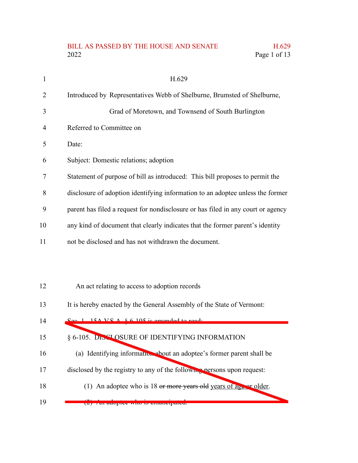## BILL AS PASSED BY THE HOUSE AND SENATE H.629<br>2022 Page 1 of 13 Page 1 of 13

| 1  | H.629                                                                            |
|----|----------------------------------------------------------------------------------|
| 2  | Introduced by Representatives Webb of Shelburne, Brumsted of Shelburne,          |
| 3  | Grad of Moretown, and Townsend of South Burlington                               |
| 4  | Referred to Committee on                                                         |
| 5  | Date:                                                                            |
| 6  | Subject: Domestic relations; adoption                                            |
| 7  | Statement of purpose of bill as introduced: This bill proposes to permit the     |
| 8  | disclosure of adoption identifying information to an adoptee unless the former   |
| 9  | parent has filed a request for nondisclosure or has filed in any court or agency |
| 10 | any kind of document that clearly indicates that the former parent's identity    |
| 11 | not be disclosed and has not withdrawn the document.                             |
|    |                                                                                  |
|    |                                                                                  |
| 12 | An act relating to access to adoption records                                    |
| 13 | It is hereby enacted by the General Assembly of the State of Vermont:            |
| 14 | $S_{\rho\rho}$ 1 15A VS $\Lambda$ $8.6$ 105 is amended to read.                  |
| 15 | § 6-105. DISCLOSURE OF IDENTIFYING INFORMATION                                   |
| 16 | (a) Identifying information about an adoptee's former parent shall be            |
| 17 | disclosed by the registry to any of the following persons upon request:          |
| 18 | (1) An adoptee who is 18 or more years old years of a set of older.              |
| 19 | $(2)$ All auplier who is emancipated.                                            |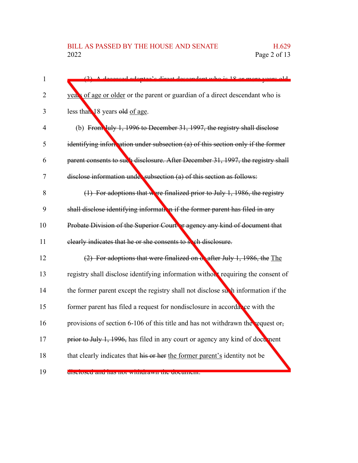| $\mathbf{1}$   | (2) A deceased adoptes's direct decordent who is 18 or more years old            |
|----------------|----------------------------------------------------------------------------------|
| $\overline{2}$ | years of age or older or the parent or guardian of a direct descendant who is    |
| 3              | less than 18 years old of age.                                                   |
| $\overline{4}$ | (b) From July 1, 1996 to December 31, 1997, the registry shall disclose          |
| 5              | identifying information under subsection (a) of this section only if the former  |
| 6              | parent consents to such disclosure. After December 31, 1997, the registry shall  |
| 7              | disclose information under subsection (a) of this section as follows:            |
| 8              | $(1)$ For adoptions that were finalized prior to July 1, 1986, the registry      |
| 9              | shall disclose identifying information if the former parent has filed in any     |
| 10             | Probate Division of the Superior Court or agency any kind of document that       |
| 11             | elearly indicates that he or she consents to see disclosure.                     |
| 12             | (2) For adoptions that were finalized on exafter July 1, 1986, the The           |
| 13             | registry shall disclose identifying information without requiring the consent of |
| 14             | the former parent except the registry shall not disclose such information if the |
| 15             | former parent has filed a request for nondisclosure in accordance with the       |
| 16             | provisions of section 6-106 of this title and has not withdrawn the equest or,   |
| 17             | prior to July 1, 1996, has filed in any court or agency any kind of document     |
| 18             | that clearly indicates that his or her the former parent's identity not be       |
| 19             | CHSCROSCU and has not withdrawn the document.                                    |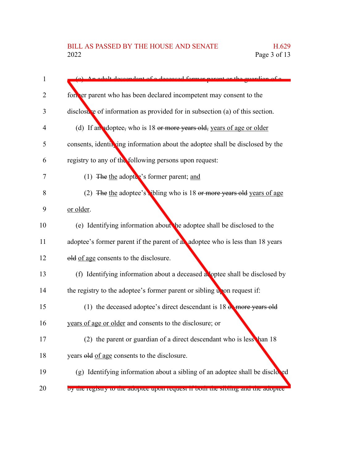| An adult deceendent of a decessed former perent or the quardian of a            |
|---------------------------------------------------------------------------------|
| fort er parent who has been declared incompetent may consent to the             |
| disclosure of information as provided for in subsection (a) of this section.    |
| (d) If an adoptee, who is 18 or more years old, years of age or older           |
| consents, identifying information about the adoptee shall be disclosed by the   |
| registry to any of the following persons upon request:                          |
| (1) The the adopter's former parent; and                                        |
| (2) The the adoptee's vibling who is 18 or more years old years of age          |
| or older.                                                                       |
| (e) Identifying information about the adoptee shall be disclosed to the         |
| adoptee's former parent if the parent of an adoptee who is less than 18 years   |
| old of age consents to the disclosure.                                          |
| (f) Identifying information about a deceased a loptee shall be disclosed by     |
| the registry to the adoptee's former parent or sibling upon request if:         |
| (1) the deceased adoptee's direct descendant is $18e$ more years old            |
| years of age or older and consents to the disclosure; or                        |
| (2) the parent or guardian of a direct descendant who is lesse han 18           |
| years old of age consents to the disclosure.                                    |
| (g) Identifying information about a sibling of an adoptee shall be disclosed    |
| by the registry to the adoptee upon request if both the sioning and the adoptee |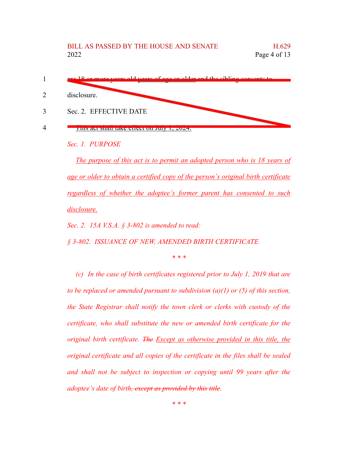

*Sec. 1. PURPOSE*

*The purpose of this act is to permit an adopted person who is 18 years of age or older to obtain a certified copy of the person's original birth certificate regardless of whether the adoptee's former parent has consented to such disclosure.*

*Sec. 2. 15A V.S.A. § 3-802 is amended to read:*

*§ 3-802. ISSUANCE OF NEW, AMENDED BIRTH CERTIFICATE*

*\* \* \**

*(c) In the case of birth certificates registered prior to July 1, 2019 that are to be replaced or amended pursuant to subdivision (a)(1) or (5) of this section, the State Registrar shall notify the town clerk or clerks with custody of the certificate, who shall substitute the new or amended birth certificate for the original birth certificate. The Except as otherwise provided in this title, the original certificate and all copies of the certificate in the files shall be sealed and shall not be subject to inspection or copying until 99 years after the adoptee's date of birth, except as provided by this title.*

*\* \* \**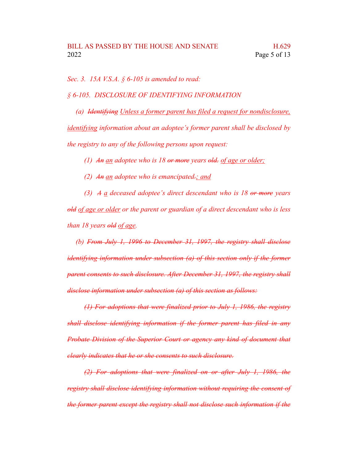*Sec. 3. 15A V.S.A. § 6-105 is amended to read:*

*§ 6-105. DISCLOSURE OF IDENTIFYING INFORMATION*

*(a) Identifying Unless a former parent has filed a request for nondisclosure, identifying information about an adoptee's former parent shall be disclosed by the registry to any of the following persons upon request:*

*(1) An an adoptee who is 18 or more years old. of age or older;*

*(2) An an adoptee who is emancipated.; and*

*(3) A a deceased adoptee's direct descendant who is 18 or more years old of age or older or the parent or guardian of a direct descendant who is less than 18 years old of age.*

*(b) From July 1, 1996 to December 31, 1997, the registry shall disclose identifying information under subsection (a) of this section only if the former parent consents to such disclosure. After December 31, 1997, the registry shall disclose information under subsection (a) of this section as follows:*

*(1) For adoptions that were finalized prior to July 1, 1986, the registry shall disclose identifying information if the former parent has filed in any Probate Division of the Superior Court or agency any kind of document that clearly indicates that he or she consents to such disclosure.*

*(2) For adoptions that were finalized on or after July 1, 1986, the registry shall disclose identifying information without requiring the consent of the former parent except the registry shall not disclose such information if the*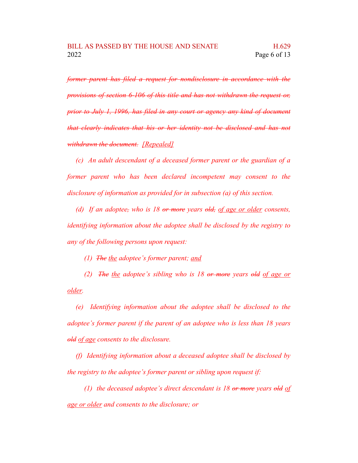*former parent has filed a request for nondisclosure in accordance with the provisions of section 6-106 of this title and has not withdrawn the request or, prior to July 1, 1996, has filed in any court or agency any kind of document that clearly indicates that his or her identity not be disclosed and has not withdrawn the document. [Repealed]*

*(c) An adult descendant of a deceased former parent or the guardian of a former parent who has been declared incompetent may consent to the disclosure of information as provided for in subsection (a) of this section.*

*(d) If an adoptee, who is 18 or more years old, of age or older consents, identifying information about the adoptee shall be disclosed by the registry to any of the following persons upon request:*

*(1) The the adoptee's former parent; and*

*(2) The the adoptee's sibling who is 18 or more years old of age or older.*

*(e) Identifying information about the adoptee shall be disclosed to the adoptee's former parent if the parent of an adoptee who is less than 18 years old of age consents to the disclosure.*

*(f) Identifying information about a deceased adoptee shall be disclosed by the registry to the adoptee's former parent or sibling upon request if:*

*(1) the deceased adoptee's direct descendant is 18 or more years old of age or older and consents to the disclosure; or*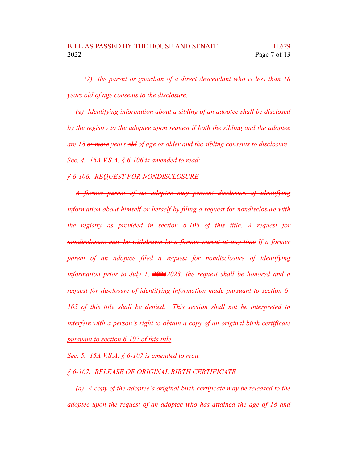*(2) the parent or guardian of a direct descendant who is less than 18 years old of age consents to the disclosure.*

*(g) Identifying information about a sibling of an adoptee shall be disclosed by the registry to the adoptee upon request if both the sibling and the adoptee are 18 or more years old of age or older and the sibling consents to disclosure. Sec. 4. 15A V.S.A. § 6-106 is amended to read:*

*§ 6-106. REQUEST FOR NONDISCLOSURE*

*A former parent of an adoptee may prevent disclosure of identifying information about himself or herself by filing a request for nondisclosure with the registry as provided in section 6-105 of this title. A request for nondisclosure may be withdrawn by a former parent at any time If a former parent of an adoptee filed a request for nondisclosure of identifying information prior to July 1, 20242023, the request shall be honored and a request for disclosure of identifying information made pursuant to section 6- 105 of this title shall be denied. This section shall not be interpreted to interfere with a person's right to obtain a copy of an original birth certificate pursuant to section 6-107 of this title.*

*Sec. 5. 15A V.S.A. § 6-107 is amended to read:*

*§ 6-107. RELEASE OF ORIGINAL BIRTH CERTIFICATE*

*(a) A copy of the adoptee's original birth certificate may be released to the adoptee upon the request of an adoptee who has attained the age of 18 and*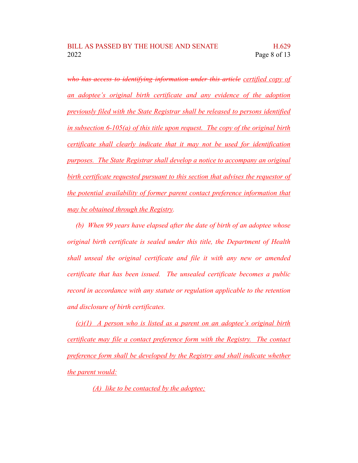*who has access to identifying information under this article certified copy of an adoptee's original birth certificate and any evidence of the adoption previously filed with the State Registrar shall be released to persons identified in subsection 6-105(a) of this title upon request. The copy of the original birth certificate shall clearly indicate that it may not be used for identification purposes. The State Registrar shall develop a notice to accompany an original birth certificate requested pursuant to this section that advises the requestor of the potential availability of former parent contact preference information that may be obtained through the Registry.*

*(b) When 99 years have elapsed after the date of birth of an adoptee whose original birth certificate is sealed under this title, the Department of Health shall unseal the original certificate and file it with any new or amended certificate that has been issued. The unsealed certificate becomes a public record in accordance with any statute or regulation applicable to the retention and disclosure of birth certificates.*

*(c)(1) A person who is listed as a parent on an adoptee's original birth certificate may file a contact preference form with the Registry. The contact preference form shall be developed by the Registry and shall indicate whether the parent would:*

*(A) like to be contacted by the adoptee;*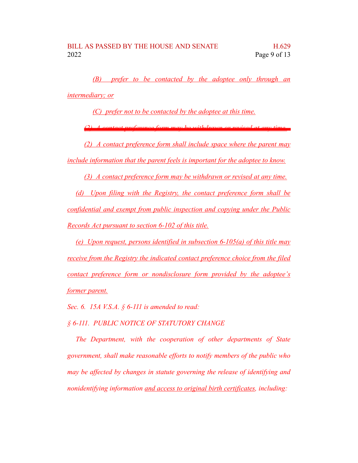*(B) prefer to be contacted by the adoptee only through an intermediary; or*

*(C) prefer not to be contacted by the adoptee at this time.*

*(2) A contact preference form may be withdrawn or revised at any time.*

*(2) A contact preference form shall include space where the parent may include information that the parent feels is important for the adoptee to know.*

*(3) A contact preference form may be withdrawn or revised at any time.*

*(d) Upon filing with the Registry, the contact preference form shall be confidential and exempt from public inspection and copying under the Public Records Act pursuant to section 6-102 of this title.*

*(e) Upon request, persons identified in subsection 6-105(a) of this title may receive from the Registry the indicated contact preference choice from the filed contact preference form or nondisclosure form provided by the adoptee's former parent.*

*Sec. 6. 15A V.S.A. § 6-111 is amended to read:*

*§ 6-111. PUBLIC NOTICE OF STATUTORY CHANGE*

*The Department, with the cooperation of other departments of State government, shall make reasonable efforts to notify members of the public who may be affected by changes in statute governing the release of identifying and nonidentifying information and access to original birth certificates, including:*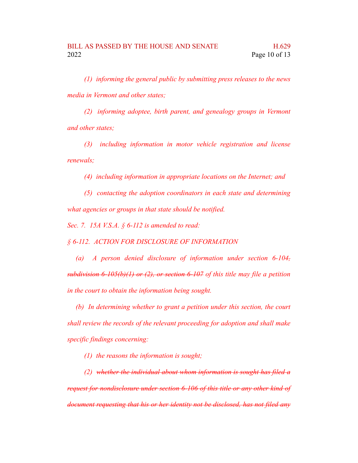*(1) informing the general public by submitting press releases to the news media in Vermont and other states;*

*(2) informing adoptee, birth parent, and genealogy groups in Vermont and other states;*

*(3) including information in motor vehicle registration and license renewals;*

*(4) including information in appropriate locations on the Internet; and*

*(5) contacting the adoption coordinators in each state and determining what agencies or groups in that state should be notified.*

*Sec. 7. 15A V.S.A. § 6-112 is amended to read:*

*§ 6-112. ACTION FOR DISCLOSURE OF INFORMATION*

*(a) A person denied disclosure of information under section 6-104, subdivision 6-105(b)(1) or (2), or section 6-107 of this title may file a petition in the court to obtain the information being sought.*

*(b) In determining whether to grant a petition under this section, the court shall review the records of the relevant proceeding for adoption and shall make specific findings concerning:*

*(1) the reasons the information is sought;*

*(2) whether the individual about whom information is sought has filed a request for nondisclosure under section 6-106 of this title or any other kind of*

*document requesting that his or her identity not be disclosed, has not filed any*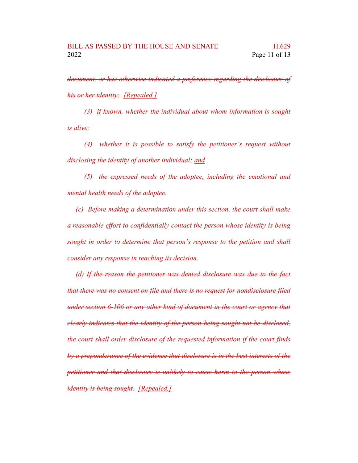*document, or has otherwise indicated a preference regarding the disclosure of his or her identity; [Repealed.]*

*(3) if known, whether the individual about whom information is sought is alive;*

*(4) whether it is possible to satisfy the petitioner's request without disclosing the identity of another individual; and*

*(5) the expressed needs of the adoptee, including the emotional and mental health needs of the adoptee.*

*(c) Before making a determination under this section, the court shall make a reasonable effort to confidentially contact the person whose identity is being sought in order to determine that person's response to the petition and shall consider any response in reaching its decision.*

*(d) If the reason the petitioner was denied disclosure was due to the fact that there was no consent on file and there is no request for nondisclosure filed under section 6-106 or any other kind of document in the court or agency that clearly indicates that the identity of the person being sought not be disclosed, the court shall order disclosure of the requested information if the court finds by a preponderance of the evidence that disclosure is in the best interests of the petitioner and that disclosure is unlikely to cause harm to the person whose identity is being sought. [Repealed.]*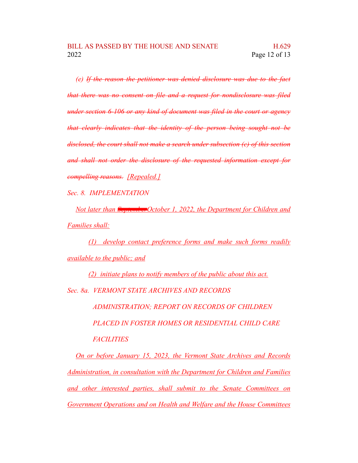*(e) If the reason the petitioner was denied disclosure was due to the fact that there was no consent on file and a request for nondisclosure was filed under section 6-106 or any kind of document was filed in the court or agency that clearly indicates that the identity of the person being sought not be disclosed, the court shall not make a search under subsection (c) of this section and shall not order the disclosure of the requested information except for compelling reasons. [Repealed.]*

*Sec. 8. IMPLEMENTATION*

*Not later than SeptemberOctober 1, 2022, the Department for Children and Families shall:*

*(1) develop contact preference forms and make such forms readily available to the public; and*

*(2) initiate plans to notify members of the public about this act. Sec. 8a. VERMONT STATE ARCHIVES AND RECORDS ADMINISTRATION; REPORT ON RECORDS OF CHILDREN PLACED IN FOSTER HOMES OR RESIDENTIAL CHILD CARE FACILITIES*

*On or before January 15, 2023, the Vermont State Archives and Records Administration, in consultation with the Department for Children and Families and other interested parties, shall submit to the Senate Committees on Government Operations and on Health and Welfare and the House Committees*